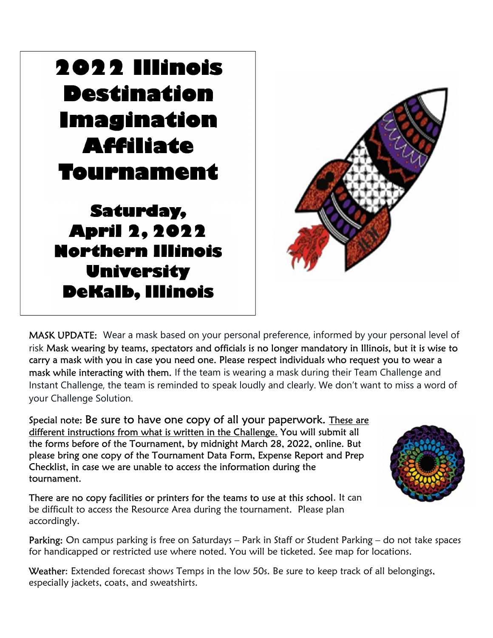# 2022 Illinois Destination Imagination Affiliate Tournament

 $\overline{a}$ 

 Saturday, April 2, 2022 Northern Illinois University DeKalb, Illinois



MASK UPDATE: Wear a mask based on your personal preference, informed by your personal level of risk Mask wearing by teams, spectators and officials is no longer mandatory in Illinois, but it is wise to carry a mask with you in case you need one. Please respect individuals who request you to wear a mask while interacting with them. If the team is wearing a mask during their Team Challenge and Instant Challenge, the team is reminded to speak loudly and clearly. We don't want to miss a word of your Challenge Solution.

Special note: Be sure to have one copy of all your paperwork. These are different instructions from what is written in the Challenge. You will submit all the forms before of the Tournament, by midnight March 28, 2022, online. But please bring one copy of the Tournament Data Form, Expense Report and Prep Checklist, in case we are unable to access the information during the tournament.

There are no copy facilities or printers for the teams to use at this school. It can be difficult to access the Resource Area during the tournament. Please plan accordingly.

Parking: On campus parking is free on Saturdays - Park in Staff or Student Parking - do not take spaces for handicapped or restricted use where noted. You will be ticketed. See map for locations.

Weather: Extended forecast shows Temps in the low 50s. Be sure to keep track of all belongings, especially jackets, coats, and sweatshirts.

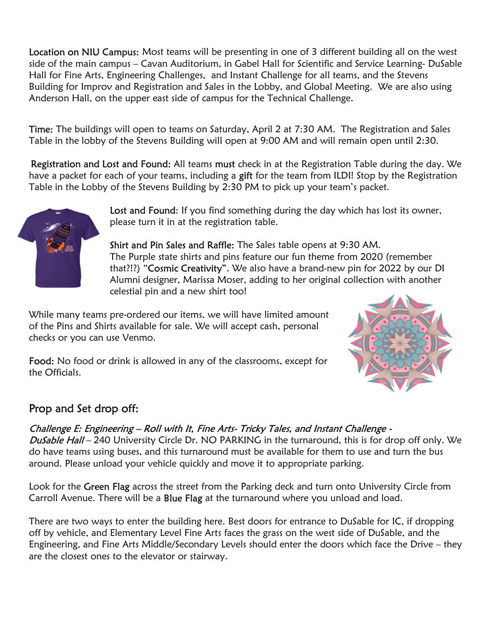Location on NIU Campus: Most teams will be presenting in one of 3 different building all on the west side of the main campus – Cavan Auditorium, in Gabel Hall for Scientific and Service Learning- DuSable Hall for Fine Arts, Engineering Challenges, and Instant Challenge for all teams, and the Stevens Building for Improv and Registration and Sales in the Lobby, and Global Meeting. We are also using Anderson Hall, on the upper east side of campus for the Technical Challenge.

Time: The buildings will open to teams on Saturday, April 2 at 7:30 AM. The Registration and Sales Table in the lobby of the Stevens Building will open at 9:00 AM and will remain open until 2:30.

Registration and Lost and Found: All teams must check in at the Registration Table during the day. We have a packet for each of your teams, including a gift for the team from ILDI! Stop by the Registration Table in the Lobby of the Stevens Building by 2:30 PM to pick up your team's packet.



Lost and Found: If you find something during the day which has lost its owner, please turn it in at the registration table.

Shirt and Pin Sales and Raffle: The Sales table opens at 9:30 AM. The Purple state shirts and pins feature our fun theme from 2020 (remember that?!?) "Cosmic Creativity". We also have a brand-new pin for 2022 by our DI Alumni designer, Marissa Moser, adding to her original collection with another celestial pin and a new shirt too!

While many teams pre-ordered our items, we will have limited amount of the Pins and Shirts available for sale. We will accept cash, personal checks or you can use Venmo.



Food: No food or drink is allowed in any of the classrooms, except for the Officials.

### Prop and Set drop off:

#### Challenge E: Engineering – Roll with It, Fine Arts- Tricky Tales, and Instant Challenge -

DuSable Hall – 240 University Circle Dr. NO PARKING in the turnaround, this is for drop off only. We do have teams using buses, and this turnaround must be available for them to use and turn the bus around. Please unload your vehicle quickly and move it to appropriate parking.

Look for the Green Flag across the street from the Parking deck and turn onto University Circle from Carroll Avenue. There will be a Blue Flag at the turnaround where you unload and load.

There are two ways to enter the building here. Best doors for entrance to DuSable for IC, if dropping off by vehicle, and Elementary Level Fine Arts faces the grass on the west side of DuSable, and the Engineering, and Fine Arts Middle/Secondary Levels should enter the doors which face the Drive – they are the closest ones to the elevator or stairway.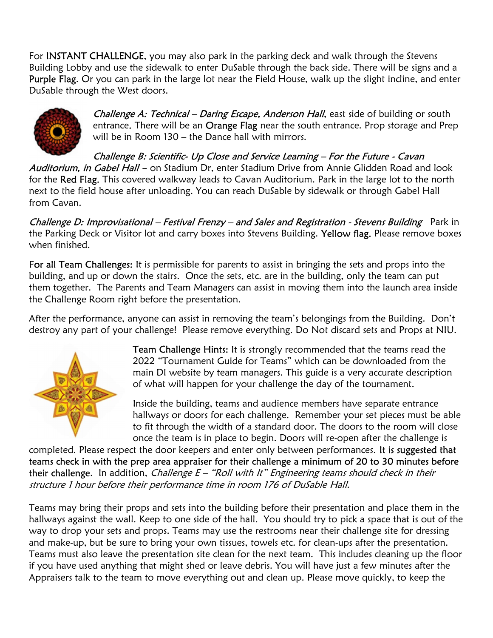For INSTANT CHALLENGE, you may also park in the parking deck and walk through the Stevens Building Lobby and use the sidewalk to enter DuSable through the back side. There will be signs and a Purple Flag. Or you can park in the large lot near the Field House, walk up the slight incline, and enter DuSable through the West doors.



Challenge A: Technical - Daring Escape, Anderson Hall, east side of building or south entrance. There will be an Orange Flag near the south entrance. Prop storage and Prep will be in Room 130 – the Dance hall with mirrors.

Challenge B: Scientific- Up Close and Service Learning – For the Future - Cavan Auditorium, in Gabel Hall -- on Stadium Dr, enter Stadium Drive from Annie Glidden Road and look for the Red Flag. This covered walkway leads to Cavan Auditorium. Park in the large lot to the north next to the field house after unloading. You can reach DuSable by sidewalk or through Gabel Hall from Cavan.

Challenge D: Improvisational - Festival Frenzy - and Sales and Registration - Stevens Building Park in the Parking Deck or Visitor lot and carry boxes into Stevens Building. Yellow flag. Please remove boxes when finished.

For all Team Challenges: It is permissible for parents to assist in bringing the sets and props into the building, and up or down the stairs. Once the sets, etc. are in the building, only the team can put them together. The Parents and Team Managers can assist in moving them into the launch area inside the Challenge Room right before the presentation.

After the performance, anyone can assist in removing the team's belongings from the Building. Don't destroy any part of your challenge! Please remove everything. Do Not discard sets and Props at NIU.



Team Challenge Hints: It is strongly recommended that the teams read the 2022 "Tournament Guide for Teams" which can be downloaded from the main DI website by team managers. This guide is a very accurate description of what will happen for your challenge the day of the tournament.

Inside the building, teams and audience members have separate entrance hallways or doors for each challenge. Remember your set pieces must be able to fit through the width of a standard door. The doors to the room will close once the team is in place to begin. Doors will re-open after the challenge is

completed. Please respect the door keepers and enter only between performances. It is suggested that teams check in with the prep area appraiser for their challenge a minimum of 20 to 30 minutes before their challenge. In addition, Challenge  $E -$  "Roll with It" Engineering teams should check in their structure 1 hour before their performance time in room 176 of DuSable Hall.

Teams may bring their props and sets into the building before their presentation and place them in the hallways against the wall. Keep to one side of the hall. You should try to pick a space that is out of the way to drop your sets and props. Teams may use the restrooms near their challenge site for dressing and make-up, but be sure to bring your own tissues, towels etc. for clean-ups after the presentation. Teams must also leave the presentation site clean for the next team. This includes cleaning up the floor if you have used anything that might shed or leave debris. You will have just a few minutes after the Appraisers talk to the team to move everything out and clean up. Please move quickly, to keep the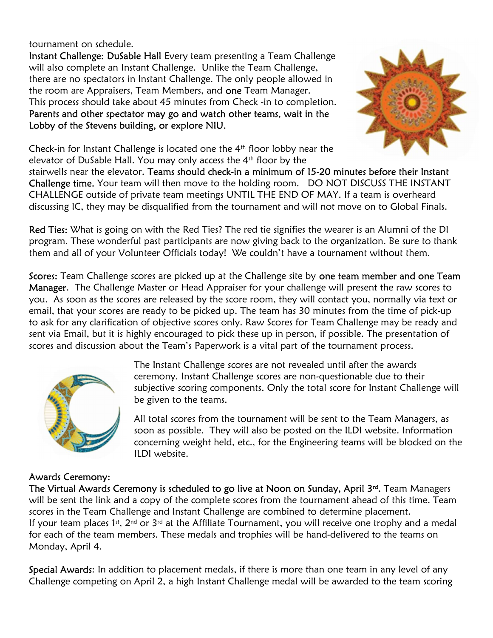tournament on schedule.

Instant Challenge: DuSable Hall Every team presenting a Team Challenge will also complete an Instant Challenge. Unlike the Team Challenge, there are no spectators in Instant Challenge. The only people allowed in the room are Appraisers, Team Members, and one Team Manager. This process should take about 45 minutes from Check -in to completion. Parents and other spectator may go and watch other teams, wait in the Lobby of the Stevens building, or explore NIU.



Check-in for Instant Challenge is located one the  $4<sup>th</sup>$  floor lobby near the elevator of DuSable Hall. You may only access the 4th floor by the

stairwells near the elevator. Teams should check-in a minimum of 15-20 minutes before their Instant Challenge time. Your team will then move to the holding room. DO NOT DISCUSS THE INSTANT CHALLENGE outside of private team meetings UNTIL THE END OF MAY. If a team is overheard discussing IC, they may be disqualified from the tournament and will not move on to Global Finals.

Red Ties: What is going on with the Red Ties? The red tie signifies the wearer is an Alumni of the DI program. These wonderful past participants are now giving back to the organization. Be sure to thank them and all of your Volunteer Officials today! We couldn't have a tournament without them.

Scores: Team Challenge scores are picked up at the Challenge site by one team member and one Team Manager. The Challenge Master or Head Appraiser for your challenge will present the raw scores to you. As soon as the scores are released by the score room, they will contact you, normally via text or email, that your scores are ready to be picked up. The team has 30 minutes from the time of pick-up to ask for any clarification of objective scores only. Raw Scores for Team Challenge may be ready and sent via Email, but it is highly encouraged to pick these up in person, if possible. The presentation of scores and discussion about the Team's Paperwork is a vital part of the tournament process.



#### Awards Ceremony:

The Instant Challenge scores are not revealed until after the awards ceremony. Instant Challenge scores are non-questionable due to their subjective scoring components. Only the total score for Instant Challenge will be given to the teams.

All total scores from the tournament will be sent to the Team Managers, as soon as possible. They will also be posted on the ILDI website. Information concerning weight held, etc., for the Engineering teams will be blocked on the ILDI website.

The Virtual Awards Ceremony is scheduled to go live at Noon on Sunday, April 3<sup>rd</sup>. Team Managers will be sent the link and a copy of the complete scores from the tournament ahead of this time. Team scores in the Team Challenge and Instant Challenge are combined to determine placement. If your team places 1<sup>st</sup>, 2<sup>nd</sup> or 3<sup>rd</sup> at the Affiliate Tournament, you will receive one trophy and a medal for each of the team members. These medals and trophies will be hand-delivered to the teams on Monday, April 4.

Special Awards: In addition to placement medals, if there is more than one team in any level of any Challenge competing on April 2, a high Instant Challenge medal will be awarded to the team scoring